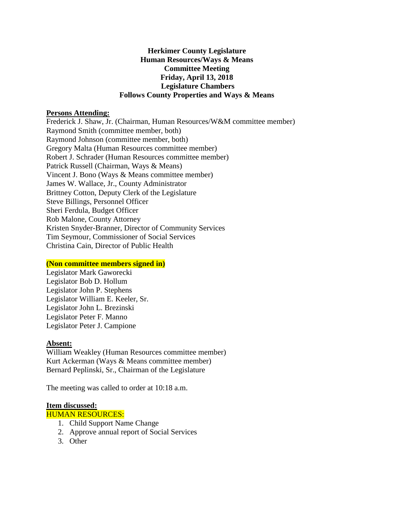### **Herkimer County Legislature Human Resources/Ways & Means Committee Meeting Friday, April 13, 2018 Legislature Chambers Follows County Properties and Ways & Means**

### **Persons Attending:**

Frederick J. Shaw, Jr. (Chairman, Human Resources/W&M committee member) Raymond Smith (committee member, both) Raymond Johnson (committee member, both) Gregory Malta (Human Resources committee member) Robert J. Schrader (Human Resources committee member) Patrick Russell (Chairman, Ways & Means) Vincent J. Bono (Ways & Means committee member) James W. Wallace, Jr., County Administrator Brittney Cotton, Deputy Clerk of the Legislature Steve Billings, Personnel Officer Sheri Ferdula, Budget Officer Rob Malone, County Attorney Kristen Snyder-Branner, Director of Community Services Tim Seymour, Commissioner of Social Services Christina Cain, Director of Public Health

#### **(Non committee members signed in)**

Legislator Mark Gaworecki Legislator Bob D. Hollum Legislator John P. Stephens Legislator William E. Keeler, Sr. Legislator John L. Brezinski Legislator Peter F. Manno Legislator Peter J. Campione

#### **Absent:**

William Weakley (Human Resources committee member) Kurt Ackerman (Ways & Means committee member) Bernard Peplinski, Sr., Chairman of the Legislature

The meeting was called to order at 10:18 a.m.

#### **Item discussed:**

HUMAN RESOURCES:

- 1. Child Support Name Change
- 2. Approve annual report of Social Services
- 3. Other